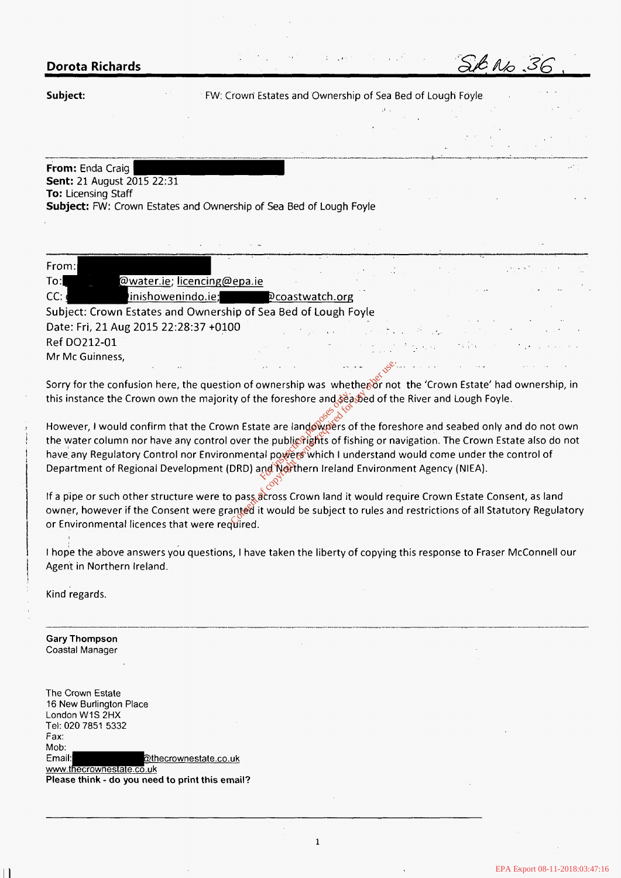*SmQ .36,* . .. **Dorota Richards** 

**Subject: Subject:** FW: Crown Estates and Ownership of Sea Bed of Lough Foyle

...... .... ". ". .-.. **ll".** ~ ".-"."L-:---."-".. " **\_--.".:.I** -..-..... " ~.

**Sent:**  21 Auqust 2015 22:31 **From:**  Enda Craig FW: Crown Estates and Ownership of Sea Bed of Lough Foyl<br>2015 22:31<br>2015 22:31<br>2016 Estates and Ownership of Sea Bed of Lough Foyl **To:** Licensing Staff ...<br>**Subject:** FW: Crown Estates and Ownership of Sea Bed of Lough Foyle

| From:           |                                                                                                                    |  |  |  |                                                                                                                                                                                                                                                       |  |
|-----------------|--------------------------------------------------------------------------------------------------------------------|--|--|--|-------------------------------------------------------------------------------------------------------------------------------------------------------------------------------------------------------------------------------------------------------|--|
| $\mathsf{To}$ : | @water.ie; licencing@epa.ie                                                                                        |  |  |  |                                                                                                                                                                                                                                                       |  |
| CC:             | inishowenindo.ie; pcoastwatch.org                                                                                  |  |  |  |                                                                                                                                                                                                                                                       |  |
|                 | Subject: Crown Estates and Ownership of Sea Bed of Lough Foyle                                                     |  |  |  | $\mathcal{L}^{\mathcal{L}}$ and $\mathcal{L}^{\mathcal{L}}$ are the set of the set of the set of the set of the set of the set of the set of the set of the set of the set of the set of the set of the set of the set of the set of the set of the s |  |
|                 | Date: Fri, 21 Aug 2015 22:28:37 +0100                                                                              |  |  |  | and the community of the contract of the community of the contract of                                                                                                                                                                                 |  |
| Ref DO212-01    |                                                                                                                    |  |  |  | (2) 2012年1月11日, 中国人民法院、中国人民法院、中国人民法院、中国人民法院、                                                                                                                                                                                                          |  |
| Mr Mc Guinness, |                                                                                                                    |  |  |  |                                                                                                                                                                                                                                                       |  |
|                 | المحافظة المستخدمة المستخدمة المتحدة المتعارفي المتحدة المستخدمة المستخدمة المستخدمة المستخدمة المستخدمة المستخدمة |  |  |  |                                                                                                                                                                                                                                                       |  |

Sorry for the confusion here, the question of ownership was whether or not the 'Crown Estate' had ownership, in this instance the Crown own the majority of the foreshore and seased of the River and Lough Foyle.

However, I would confirm that the Crown Estate are landowners of the foreshore and seabed only and do not own the water column nor have any control over the public rights of fishing or navigation. The Crown Estate also do not have any Regulatory Control nor Environmental powers which I understand would come under the control of Department of Regional Development (DRD) and Northern Ireland Environment Agency (NIEA).<br>Contract the state of the state of the state of the state of the state of the state of the state of the state o For the foreshore and search<br>
where the public rights of fish<br>
where the public rights of fish<br>
now the public rights of fish<br>
now the public rights of fish<br>
(DRD) and Northern Ireland<br>
o pass across Crown land it<br>
anted i Conserved the foreship was whethered in<br>ty of the foreshore and search or not<br>wn Estate are landowed is a search over the public rights of the fore<br>over the public rights of fishing or na<br>nmental powers which I understand<br>

If a pipe or such other structure were to pass across Crown land it would require Crown Estate Consent, as land owner, however if the Consent were granted it would be subject to rules and restrictions of all Statutory Regulatory or Environmental licences that were required.

I hope the above answers you questions, I have taken the liberty of copying this response to Fraser McConnell our Agent in Northern Ireland.

Kind regards.

**1**  i 1

I

l

I **I** 

**Gary Thompson**  Coastal Manager

The Crown Estate 16 New Burlington Place London WIS 2HX Tel: 020 7851 5332 Fax: Mob: Email: @thecrownestate.co.uk www.thecrownestate.co.uk **Please think** - do **youneed to print this email?** 

**1**